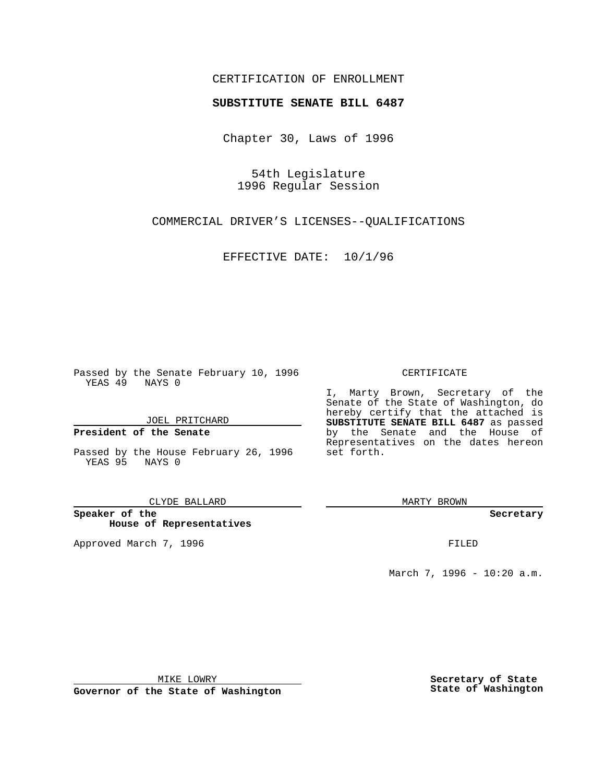### CERTIFICATION OF ENROLLMENT

# **SUBSTITUTE SENATE BILL 6487**

Chapter 30, Laws of 1996

54th Legislature 1996 Regular Session

COMMERCIAL DRIVER'S LICENSES--QUALIFICATIONS

EFFECTIVE DATE: 10/1/96

Passed by the Senate February 10, 1996 YEAS 49 NAYS 0

JOEL PRITCHARD

**President of the Senate**

Passed by the House February 26, 1996 YEAS 95 NAYS 0

CLYDE BALLARD

**Speaker of the House of Representatives**

Approved March 7, 1996 FILED

#### CERTIFICATE

I, Marty Brown, Secretary of the Senate of the State of Washington, do hereby certify that the attached is **SUBSTITUTE SENATE BILL 6487** as passed by the Senate and the House of Representatives on the dates hereon set forth.

MARTY BROWN

**Secretary**

March 7, 1996 - 10:20 a.m.

MIKE LOWRY

**Governor of the State of Washington**

**Secretary of State State of Washington**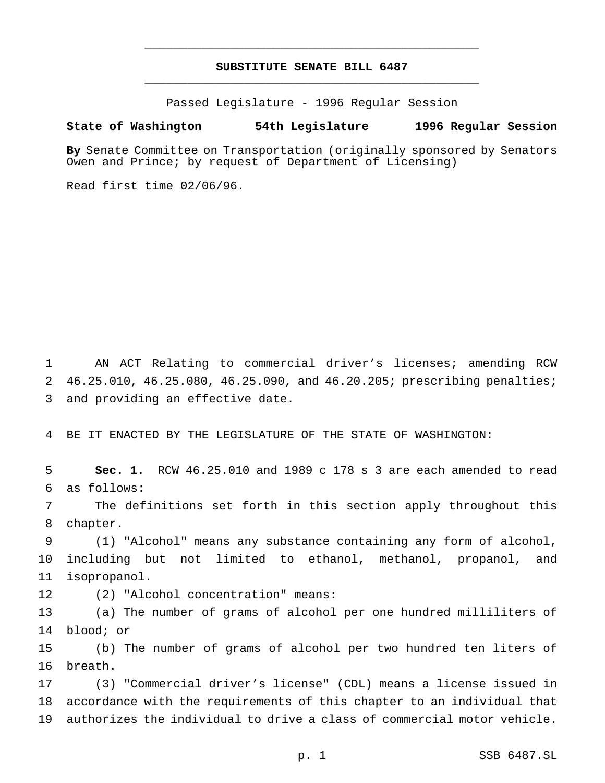## **SUBSTITUTE SENATE BILL 6487** \_\_\_\_\_\_\_\_\_\_\_\_\_\_\_\_\_\_\_\_\_\_\_\_\_\_\_\_\_\_\_\_\_\_\_\_\_\_\_\_\_\_\_\_\_\_\_

\_\_\_\_\_\_\_\_\_\_\_\_\_\_\_\_\_\_\_\_\_\_\_\_\_\_\_\_\_\_\_\_\_\_\_\_\_\_\_\_\_\_\_\_\_\_\_

Passed Legislature - 1996 Regular Session

#### **State of Washington 54th Legislature 1996 Regular Session**

**By** Senate Committee on Transportation (originally sponsored by Senators Owen and Prince; by request of Department of Licensing)

Read first time 02/06/96.

 AN ACT Relating to commercial driver's licenses; amending RCW 46.25.010, 46.25.080, 46.25.090, and 46.20.205; prescribing penalties; and providing an effective date.

BE IT ENACTED BY THE LEGISLATURE OF THE STATE OF WASHINGTON:

 **Sec. 1.** RCW 46.25.010 and 1989 c 178 s 3 are each amended to read as follows:

 The definitions set forth in this section apply throughout this chapter.

 (1) "Alcohol" means any substance containing any form of alcohol, including but not limited to ethanol, methanol, propanol, and isopropanol.

(2) "Alcohol concentration" means:

 (a) The number of grams of alcohol per one hundred milliliters of blood; or

 (b) The number of grams of alcohol per two hundred ten liters of breath.

 (3) "Commercial driver's license" (CDL) means a license issued in accordance with the requirements of this chapter to an individual that authorizes the individual to drive a class of commercial motor vehicle.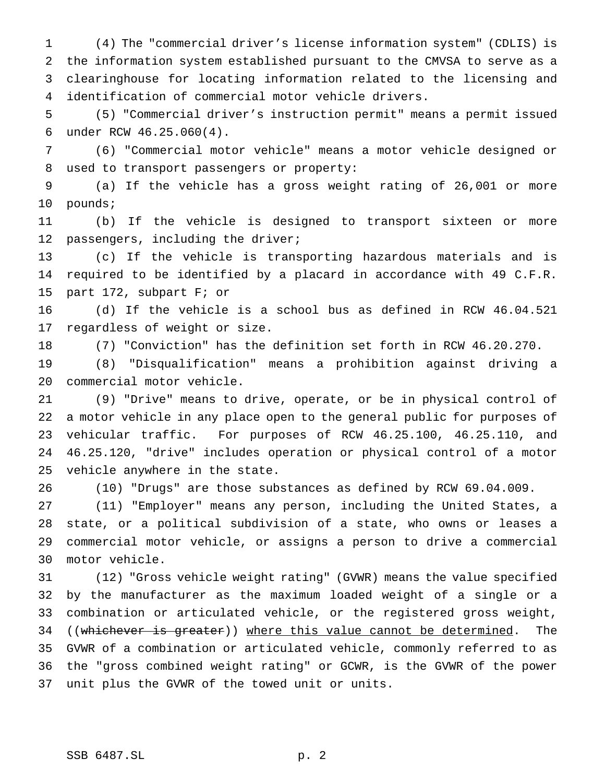(4) The "commercial driver's license information system" (CDLIS) is the information system established pursuant to the CMVSA to serve as a clearinghouse for locating information related to the licensing and identification of commercial motor vehicle drivers.

 (5) "Commercial driver's instruction permit" means a permit issued under RCW 46.25.060(4).

 (6) "Commercial motor vehicle" means a motor vehicle designed or used to transport passengers or property:

 (a) If the vehicle has a gross weight rating of 26,001 or more pounds;

 (b) If the vehicle is designed to transport sixteen or more 12 passengers, including the driver;

 (c) If the vehicle is transporting hazardous materials and is required to be identified by a placard in accordance with 49 C.F.R. part 172, subpart F; or

 (d) If the vehicle is a school bus as defined in RCW 46.04.521 regardless of weight or size.

(7) "Conviction" has the definition set forth in RCW 46.20.270.

 (8) "Disqualification" means a prohibition against driving a commercial motor vehicle.

 (9) "Drive" means to drive, operate, or be in physical control of a motor vehicle in any place open to the general public for purposes of vehicular traffic. For purposes of RCW 46.25.100, 46.25.110, and 46.25.120, "drive" includes operation or physical control of a motor vehicle anywhere in the state.

(10) "Drugs" are those substances as defined by RCW 69.04.009.

 (11) "Employer" means any person, including the United States, a state, or a political subdivision of a state, who owns or leases a commercial motor vehicle, or assigns a person to drive a commercial motor vehicle.

 (12) "Gross vehicle weight rating" (GVWR) means the value specified by the manufacturer as the maximum loaded weight of a single or a combination or articulated vehicle, or the registered gross weight, 34 ((whichever is greater)) where this value cannot be determined. The GVWR of a combination or articulated vehicle, commonly referred to as the "gross combined weight rating" or GCWR, is the GVWR of the power unit plus the GVWR of the towed unit or units.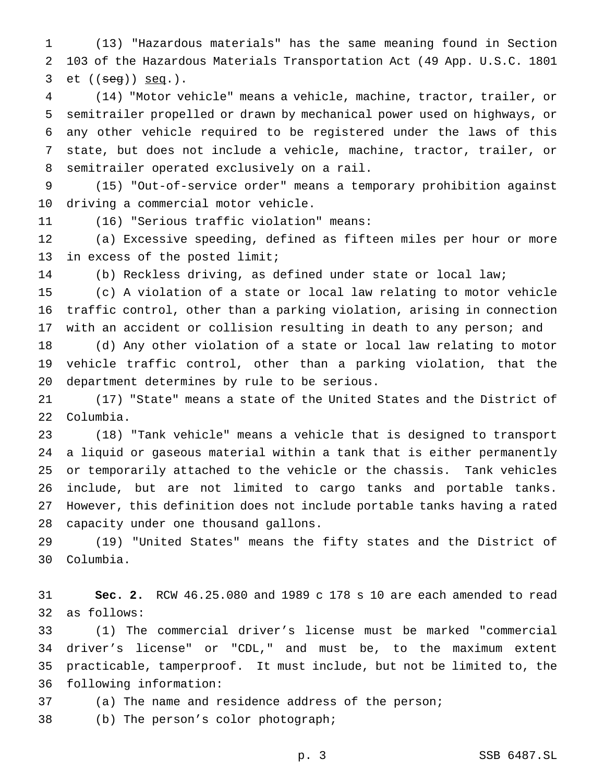(13) "Hazardous materials" has the same meaning found in Section 103 of the Hazardous Materials Transportation Act (49 App. U.S.C. 1801 3 et ((seg)) seq.).

 (14) "Motor vehicle" means a vehicle, machine, tractor, trailer, or semitrailer propelled or drawn by mechanical power used on highways, or any other vehicle required to be registered under the laws of this state, but does not include a vehicle, machine, tractor, trailer, or semitrailer operated exclusively on a rail.

 (15) "Out-of-service order" means a temporary prohibition against driving a commercial motor vehicle.

(16) "Serious traffic violation" means:

 (a) Excessive speeding, defined as fifteen miles per hour or more in excess of the posted limit;

(b) Reckless driving, as defined under state or local law;

 (c) A violation of a state or local law relating to motor vehicle traffic control, other than a parking violation, arising in connection with an accident or collision resulting in death to any person; and

 (d) Any other violation of a state or local law relating to motor vehicle traffic control, other than a parking violation, that the department determines by rule to be serious.

 (17) "State" means a state of the United States and the District of Columbia.

 (18) "Tank vehicle" means a vehicle that is designed to transport a liquid or gaseous material within a tank that is either permanently or temporarily attached to the vehicle or the chassis. Tank vehicles include, but are not limited to cargo tanks and portable tanks. However, this definition does not include portable tanks having a rated capacity under one thousand gallons.

 (19) "United States" means the fifty states and the District of Columbia.

 **Sec. 2.** RCW 46.25.080 and 1989 c 178 s 10 are each amended to read as follows:

 (1) The commercial driver's license must be marked "commercial driver's license" or "CDL," and must be, to the maximum extent practicable, tamperproof. It must include, but not be limited to, the following information:

(a) The name and residence address of the person;

(b) The person's color photograph;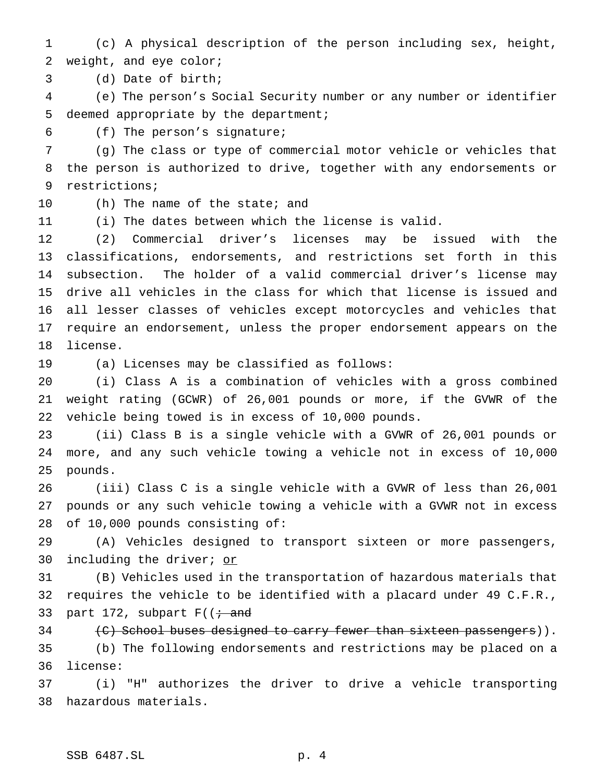(c) A physical description of the person including sex, height, weight, and eye color;

(d) Date of birth;

 (e) The person's Social Security number or any number or identifier deemed appropriate by the department;

(f) The person's signature;

 (g) The class or type of commercial motor vehicle or vehicles that the person is authorized to drive, together with any endorsements or restrictions;

(h) The name of the state; and

(i) The dates between which the license is valid.

 (2) Commercial driver's licenses may be issued with the classifications, endorsements, and restrictions set forth in this subsection. The holder of a valid commercial driver's license may drive all vehicles in the class for which that license is issued and all lesser classes of vehicles except motorcycles and vehicles that require an endorsement, unless the proper endorsement appears on the license.

(a) Licenses may be classified as follows:

 (i) Class A is a combination of vehicles with a gross combined weight rating (GCWR) of 26,001 pounds or more, if the GVWR of the vehicle being towed is in excess of 10,000 pounds.

 (ii) Class B is a single vehicle with a GVWR of 26,001 pounds or more, and any such vehicle towing a vehicle not in excess of 10,000 pounds.

 (iii) Class C is a single vehicle with a GVWR of less than 26,001 pounds or any such vehicle towing a vehicle with a GVWR not in excess of 10,000 pounds consisting of:

 (A) Vehicles designed to transport sixteen or more passengers, 30 including the driver; or

 (B) Vehicles used in the transportation of hazardous materials that requires the vehicle to be identified with a placard under 49 C.F.R., 33 part 172, subpart  $F((\div and$ 

34 (C) School buses designed to carry fewer than sixteen passengers)).

 (b) The following endorsements and restrictions may be placed on a license:

 (i) "H" authorizes the driver to drive a vehicle transporting hazardous materials.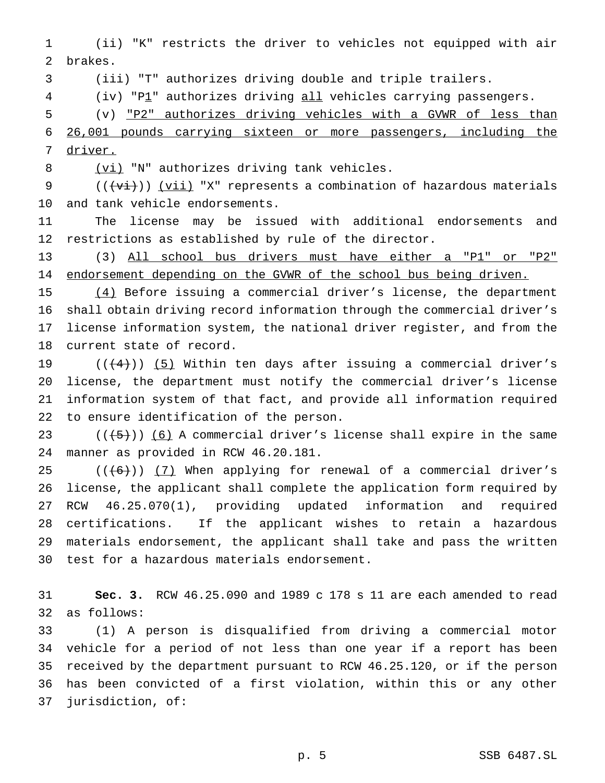(ii) "K" restricts the driver to vehicles not equipped with air brakes.

(iii) "T" authorizes driving double and triple trailers.

4 (iv) "P1" authorizes driving all vehicles carrying passengers.

 (v) "P2" authorizes driving vehicles with a GVWR of less than 26,001 pounds carrying sixteen or more passengers, including the driver.

8 (vi) "N" authorizes driving tank vehicles.

9  $((\overline{\text{v}i}))$  (vii) "X" represents a combination of hazardous materials and tank vehicle endorsements.

 The license may be issued with additional endorsements and restrictions as established by rule of the director.

 (3) All school bus drivers must have either a "P1" or "P2" 14 endorsement depending on the GVWR of the school bus being driven.

15 (4) Before issuing a commercial driver's license, the department shall obtain driving record information through the commercial driver's license information system, the national driver register, and from the current state of record.

 $((+4))$  (5) Within ten days after issuing a commercial driver's license, the department must notify the commercial driver's license information system of that fact, and provide all information required to ensure identification of the person.

23  $((+5))$   $(6)$  A commercial driver's license shall expire in the same manner as provided in RCW 46.20.181.

 $((+6))$   $(7)$  When applying for renewal of a commercial driver's license, the applicant shall complete the application form required by RCW 46.25.070(1), providing updated information and required certifications. If the applicant wishes to retain a hazardous materials endorsement, the applicant shall take and pass the written test for a hazardous materials endorsement.

 **Sec. 3.** RCW 46.25.090 and 1989 c 178 s 11 are each amended to read as follows:

 (1) A person is disqualified from driving a commercial motor vehicle for a period of not less than one year if a report has been received by the department pursuant to RCW 46.25.120, or if the person has been convicted of a first violation, within this or any other jurisdiction, of: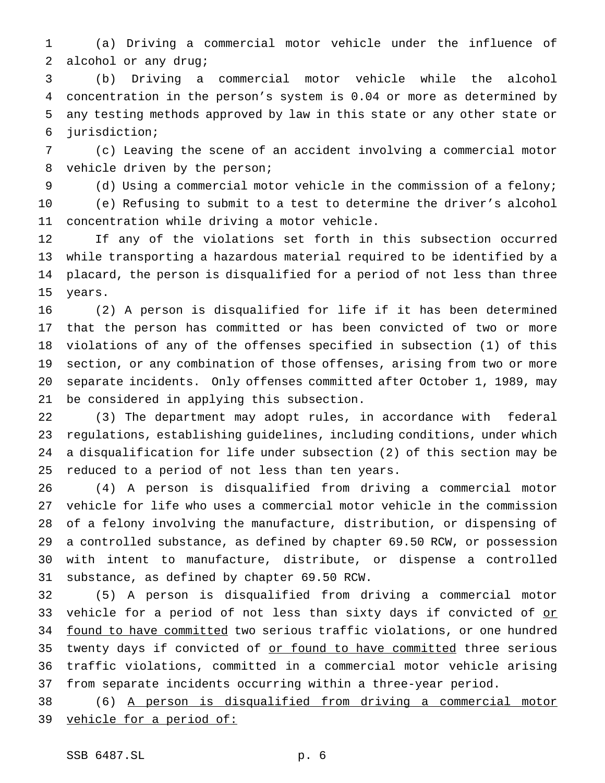(a) Driving a commercial motor vehicle under the influence of alcohol or any drug;

 (b) Driving a commercial motor vehicle while the alcohol concentration in the person's system is 0.04 or more as determined by any testing methods approved by law in this state or any other state or jurisdiction;

 (c) Leaving the scene of an accident involving a commercial motor vehicle driven by the person;

(d) Using a commercial motor vehicle in the commission of a felony;

 (e) Refusing to submit to a test to determine the driver's alcohol concentration while driving a motor vehicle.

 If any of the violations set forth in this subsection occurred while transporting a hazardous material required to be identified by a placard, the person is disqualified for a period of not less than three years.

 (2) A person is disqualified for life if it has been determined that the person has committed or has been convicted of two or more violations of any of the offenses specified in subsection (1) of this section, or any combination of those offenses, arising from two or more separate incidents. Only offenses committed after October 1, 1989, may be considered in applying this subsection.

 (3) The department may adopt rules, in accordance with federal regulations, establishing guidelines, including conditions, under which a disqualification for life under subsection (2) of this section may be reduced to a period of not less than ten years.

 (4) A person is disqualified from driving a commercial motor vehicle for life who uses a commercial motor vehicle in the commission of a felony involving the manufacture, distribution, or dispensing of a controlled substance, as defined by chapter 69.50 RCW, or possession with intent to manufacture, distribute, or dispense a controlled substance, as defined by chapter 69.50 RCW.

 (5) A person is disqualified from driving a commercial motor 33 vehicle for a period of not less than sixty days if convicted of <u>or</u> 34 found to have committed two serious traffic violations, or one hundred 35 twenty days if convicted of or found to have committed three serious traffic violations, committed in a commercial motor vehicle arising from separate incidents occurring within a three-year period.

 (6) A person is disqualified from driving a commercial motor vehicle for a period of: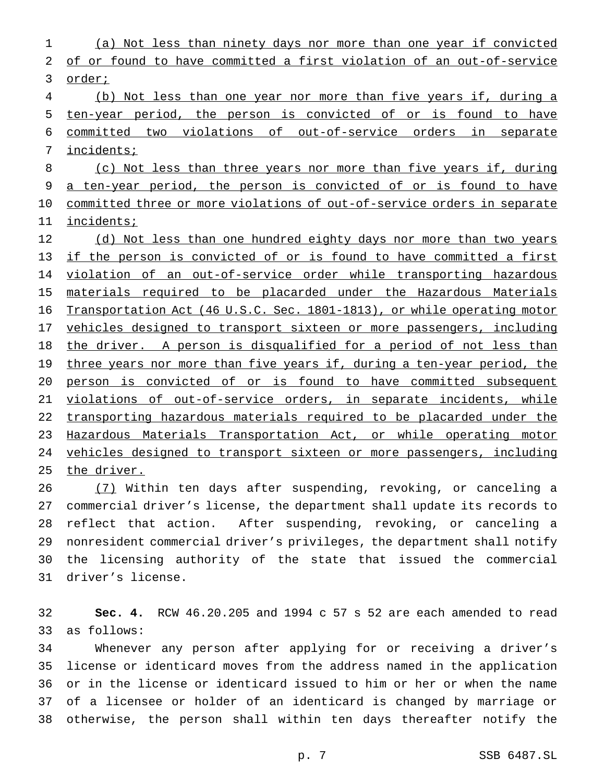(a) Not less than ninety days nor more than one year if convicted of or found to have committed a first violation of an out-of-service order; (b) Not less than one year nor more than five years if, during a ten-year period, the person is convicted of or is found to have committed two violations of out-of-service orders in separate incidents; 8 (c) Not less than three years nor more than five years if, during a ten-year period, the person is convicted of or is found to have 10 committed three or more violations of out-of-service orders in separate incidents; 12 (d) Not less than one hundred eighty days nor more than two years if the person is convicted of or is found to have committed a first 14 violation of an out-of-service order while transporting hazardous materials required to be placarded under the Hazardous Materials Transportation Act (46 U.S.C. Sec. 1801-1813), or while operating motor 17 vehicles designed to transport sixteen or more passengers, including 18 the driver. A person is disqualified for a period of not less than 19 three years nor more than five years if, during a ten-year period, the person is convicted of or is found to have committed subsequent 21 violations of out-of-service orders, in separate incidents, while transporting hazardous materials required to be placarded under the Hazardous Materials Transportation Act, or while operating motor vehicles designed to transport sixteen or more passengers, including the driver.

 (7) Within ten days after suspending, revoking, or canceling a commercial driver's license, the department shall update its records to reflect that action. After suspending, revoking, or canceling a nonresident commercial driver's privileges, the department shall notify the licensing authority of the state that issued the commercial driver's license.

 **Sec. 4.** RCW 46.20.205 and 1994 c 57 s 52 are each amended to read as follows:

 Whenever any person after applying for or receiving a driver's license or identicard moves from the address named in the application or in the license or identicard issued to him or her or when the name of a licensee or holder of an identicard is changed by marriage or otherwise, the person shall within ten days thereafter notify the